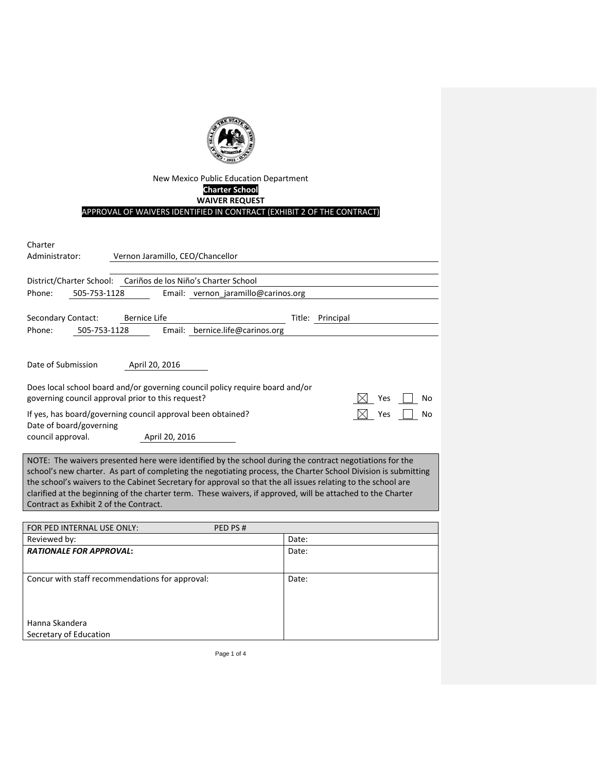

| New Mexico Public Education Department                                 |
|------------------------------------------------------------------------|
| <b>Charter School</b>                                                  |
| <b>WAIVER REQUEST</b>                                                  |
| APPROVAL OF WAIVERS IDENTIFIED IN CONTRACT (EXHIBIT 2 OF THE CONTRACT) |

| Charter<br>Administrator:                                                              | Vernon Jaramillo, CEO/Chancellor |                                                                              |        |           |     |    |
|----------------------------------------------------------------------------------------|----------------------------------|------------------------------------------------------------------------------|--------|-----------|-----|----|
| District/Charter School: Cariños de los Niño's Charter School                          |                                  |                                                                              |        |           |     |    |
| 505-753-1128<br>Phone:                                                                 |                                  | Email: vernon jaramillo@carinos.org                                          |        |           |     |    |
| Secondary Contact:<br>Phone:<br>505-753-1128                                           | Bernice Life                     | Email: bernice.life@carinos.org                                              | Title: | Principal |     |    |
| Date of Submission                                                                     | April 20, 2016                   |                                                                              |        |           |     |    |
| governing council approval prior to this request?                                      |                                  | Does local school board and/or governing council policy require board and/or |        |           | Yes | No |
| If yes, has board/governing council approval been obtained?<br>Date of board/governing |                                  |                                                                              |        |           | Yes | No |
| council approval.                                                                      | April 20, 2016                   |                                                                              |        |           |     |    |

NOTE: The waivers presented here were identified by the school during the contract negotiations for the school's new charter. As part of completing the negotiating process, the Charter School Division is submitting the school's waivers to the Cabinet Secretary for approval so that the all issues relating to the school are clarified at the beginning of the charter term. These waivers, if approved, will be attached to the Charter Contract as Exhibit 2 of the Contract.

| FOR PED INTERNAL USE ONLY:                      | PED PS# |       |
|-------------------------------------------------|---------|-------|
| Reviewed by:                                    |         | Date: |
| <b>RATIONALE FOR APPROVAL:</b>                  |         | Date: |
|                                                 |         |       |
| Concur with staff recommendations for approval: |         | Date: |
|                                                 |         |       |
|                                                 |         |       |
| Hanna Skandera                                  |         |       |
| Secretary of Education                          |         |       |
|                                                 |         |       |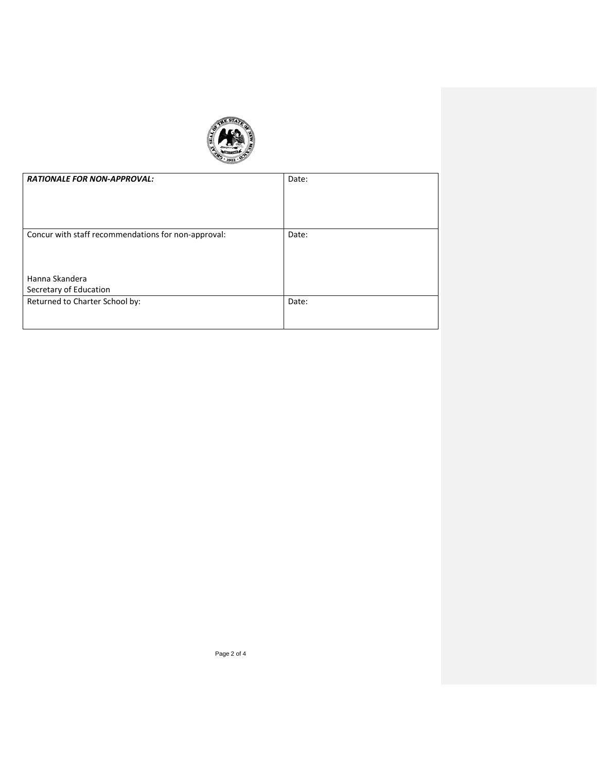

| <b>RATIONALE FOR NON-APPROVAL:</b>                  | Date: |
|-----------------------------------------------------|-------|
|                                                     |       |
| Concur with staff recommendations for non-approval: | Date: |
| Hanna Skandera                                      |       |
| Secretary of Education                              |       |
| Returned to Charter School by:                      | Date: |
|                                                     |       |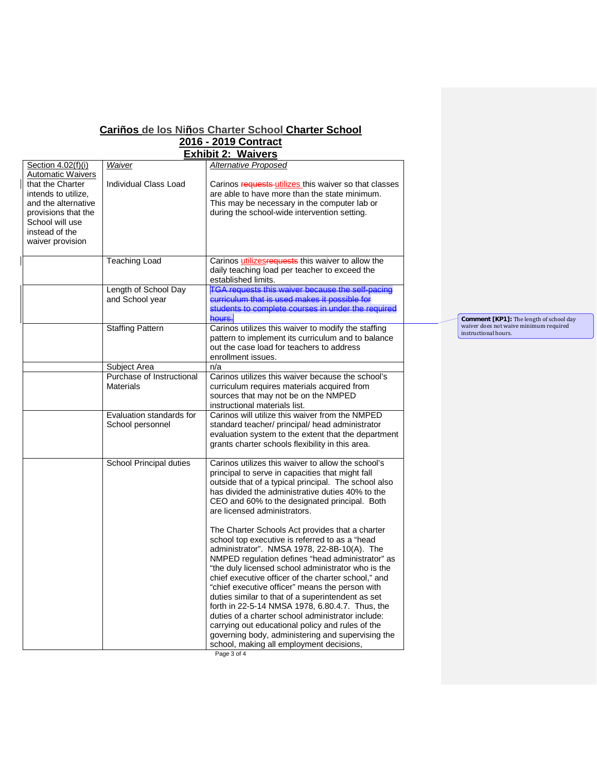| 2016 - 2019 Contract                                                                                                                                                                             |                                               |                                                                                                                                                                                                                                                                                                                                                                                                                                                                              |  |
|--------------------------------------------------------------------------------------------------------------------------------------------------------------------------------------------------|-----------------------------------------------|------------------------------------------------------------------------------------------------------------------------------------------------------------------------------------------------------------------------------------------------------------------------------------------------------------------------------------------------------------------------------------------------------------------------------------------------------------------------------|--|
|                                                                                                                                                                                                  |                                               | <b>Exhibit 2: Waivers</b>                                                                                                                                                                                                                                                                                                                                                                                                                                                    |  |
| Section 4.02(f)(i)<br><b>Automatic Waivers</b><br>that the Charter<br>intends to utilize.<br>and the alternative<br>provisions that the<br>School will use<br>instead of the<br>waiver provision | Waiver<br>Individual Class Load               | <b>Alternative Proposed</b><br>Carinos requests-utilizes this waiver so that classes<br>are able to have more than the state minimum.<br>This may be necessary in the computer lab or<br>during the school-wide intervention setting.                                                                                                                                                                                                                                        |  |
|                                                                                                                                                                                                  | <b>Teaching Load</b>                          | Carinos <i>utilizes</i> requests this waiver to allow the<br>daily teaching load per teacher to exceed the<br>established limits.                                                                                                                                                                                                                                                                                                                                            |  |
|                                                                                                                                                                                                  | Length of School Day<br>and School year       | <b>TGA requests this waiver because the self-pacing</b><br>curriculum that is used makes it possible for<br>students to complete courses in under the required<br>hours.                                                                                                                                                                                                                                                                                                     |  |
|                                                                                                                                                                                                  | <b>Staffing Pattern</b>                       | Carinos utilizes this waiver to modify the staffing<br>pattern to implement its curriculum and to balance<br>out the case load for teachers to address<br>enrollment issues.                                                                                                                                                                                                                                                                                                 |  |
|                                                                                                                                                                                                  | Subject Area                                  | n/a                                                                                                                                                                                                                                                                                                                                                                                                                                                                          |  |
|                                                                                                                                                                                                  | Purchase of Instructional<br><b>Materials</b> | Carinos utilizes this waiver because the school's<br>curriculum requires materials acquired from<br>sources that may not be on the NMPED<br>instructional materials list.                                                                                                                                                                                                                                                                                                    |  |
|                                                                                                                                                                                                  | Evaluation standards for<br>School personnel  | Carinos will utilize this waiver from the NMPED<br>standard teacher/ principal/ head administrator<br>evaluation system to the extent that the department<br>grants charter schools flexibility in this area.                                                                                                                                                                                                                                                                |  |
|                                                                                                                                                                                                  | School Principal duties                       | Carinos utilizes this waiver to allow the school's<br>principal to serve in capacities that might fall<br>outside that of a typical principal. The school also<br>has divided the administrative duties 40% to the<br>CEO and 60% to the designated principal. Both<br>are licensed administrators.                                                                                                                                                                          |  |
|                                                                                                                                                                                                  |                                               | The Charter Schools Act provides that a charter<br>school top executive is referred to as a "head<br>administrator". NMSA 1978, 22-8B-10(A). The<br>NMPED regulation defines "head administrator" as<br>"the duly licensed school administrator who is the<br>chief executive officer of the charter school," and<br>"chief executive officer" means the person with<br>duties similar to that of a superintendent as set<br>forth in 22-5-14 NMSA 1978, 6.80.4.7. Thus, the |  |
|                                                                                                                                                                                                  |                                               | duties of a charter school administrator include:<br>carrying out educational policy and rules of the<br>governing body, administering and supervising the<br>school, making all employment decisions,<br>Page 3 of 4                                                                                                                                                                                                                                                        |  |

## **Cariños de los Niños Charter School Charter School**

**Comment [KP1]:** The length of school day waiver does not waive minimum required instructional hours.